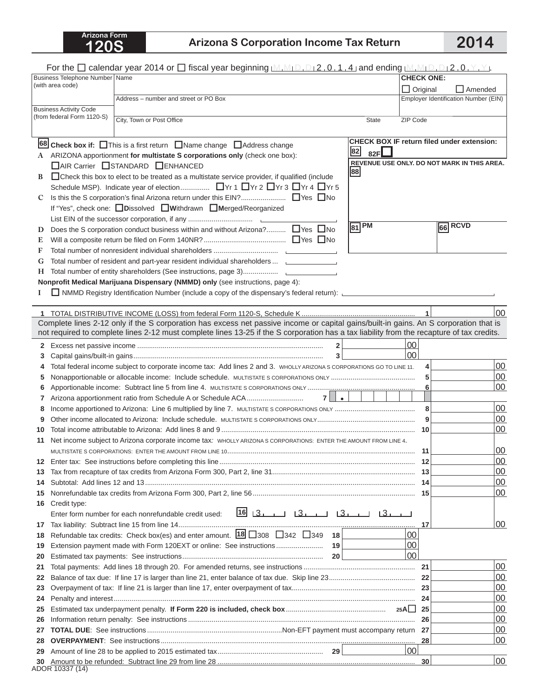## **120S Arizona S Corporation Income Tax Return 2014**

|    |                                                                                                 | For the $\Box$ calendar year 2014 or $\Box$ fiscal year beginning $\Box$ , $\Box_1\Box_2$ , 0, 1, 4, and ending $\Box$ , $\Box_1\Box_1\Box_1\Box_2$ , 0, $\Box$ , $\Box$ |                 |                                                   |  |
|----|-------------------------------------------------------------------------------------------------|--------------------------------------------------------------------------------------------------------------------------------------------------------------------------|-----------------|---------------------------------------------------|--|
|    | Business Telephone Number   Name<br>(with area code)                                            |                                                                                                                                                                          |                 | <b>CHECK ONE:</b>                                 |  |
|    |                                                                                                 |                                                                                                                                                                          | $\Box$ Original | $\Box$ Amended                                    |  |
|    |                                                                                                 | Address - number and street or PO Box                                                                                                                                    |                 | Employer Identification Number (EIN)              |  |
|    | <b>Business Activity Code</b><br>(from federal Form 1120-S)                                     |                                                                                                                                                                          |                 |                                                   |  |
|    |                                                                                                 | City, Town or Post Office<br><b>State</b>                                                                                                                                | ZIP Code        |                                                   |  |
|    |                                                                                                 |                                                                                                                                                                          |                 |                                                   |  |
|    |                                                                                                 | 68 Check box if: This is a first return Name change Address change                                                                                                       |                 | <b>CHECK BOX IF return filed under extension:</b> |  |
|    |                                                                                                 | 82<br>82F $\mathsf L$<br>A ARIZONA apportionment for multistate S corporations only (check one box):                                                                     |                 |                                                   |  |
|    |                                                                                                 | □ AIR Carrier □ STANDARD □ ENHANCED<br>88                                                                                                                                |                 | REVENUE USE ONLY, DO NOT MARK IN THIS AREA.       |  |
| B  | □ Check this box to elect to be treated as a multistate service provider, if qualified (include |                                                                                                                                                                          |                 |                                                   |  |
|    |                                                                                                 |                                                                                                                                                                          |                 |                                                   |  |
| C  |                                                                                                 |                                                                                                                                                                          |                 |                                                   |  |
|    |                                                                                                 | If "Yes", check one: Dissolved Withdrawn Merged/Reorganized                                                                                                              |                 |                                                   |  |
|    |                                                                                                 | $\sqrt{81}$ PM                                                                                                                                                           |                 | $66$ RCVD                                         |  |
| D  |                                                                                                 | Does the S corporation conduct business within and without Arizona? □ Yes □ No                                                                                           |                 |                                                   |  |
| E  |                                                                                                 |                                                                                                                                                                          |                 |                                                   |  |
| F  |                                                                                                 |                                                                                                                                                                          |                 |                                                   |  |
| G  |                                                                                                 | Total number of resident and part-year resident individual shareholders  ____________                                                                                    |                 |                                                   |  |
| Н. |                                                                                                 |                                                                                                                                                                          |                 |                                                   |  |
|    |                                                                                                 | Nonprofit Medical Marijuana Dispensary (NMMD) only (see instructions, page 4):                                                                                           |                 |                                                   |  |
|    |                                                                                                 | NMMD Registry Identification Number (include a copy of the dispensary's federal return):                                                                                 |                 |                                                   |  |
|    |                                                                                                 |                                                                                                                                                                          |                 | 00                                                |  |
|    |                                                                                                 | Complete lines 2-12 only if the S corporation has excess net passive income or capital gains/built-in gains. An S corporation that is                                    |                 |                                                   |  |
|    |                                                                                                 | not required to complete lines 2-12 must complete lines 13-25 if the S corporation has a tax liability from the recapture of tax credits.                                |                 |                                                   |  |
|    |                                                                                                 | $\overline{\mathbf{2}}$                                                                                                                                                  | 00              |                                                   |  |
| З  |                                                                                                 | 3                                                                                                                                                                        | 00              |                                                   |  |
| 4  |                                                                                                 | Total federal income subject to corporate income tax: Add lines 2 and 3. WHOLLY ARIZONA S CORPORATIONS GO TO LINE 11.                                                    | 4               | 00                                                |  |
| 5  |                                                                                                 |                                                                                                                                                                          | 5               | 00                                                |  |
| 6  |                                                                                                 |                                                                                                                                                                          | 6               | 00                                                |  |
| 7  |                                                                                                 | $7$ $\vert \cdot \vert$                                                                                                                                                  |                 |                                                   |  |
| 8  |                                                                                                 |                                                                                                                                                                          | 8               | 00                                                |  |
| 9  |                                                                                                 |                                                                                                                                                                          | 9               | 00                                                |  |
| 10 |                                                                                                 |                                                                                                                                                                          |                 | 00                                                |  |
| 11 |                                                                                                 | Net income subject to Arizona corporate income tax: WHOLLY ARIZONA S CORPORATIONS: ENTER THE AMOUNT FROM LINE 4.                                                         |                 |                                                   |  |
|    |                                                                                                 |                                                                                                                                                                          | -11             | 00                                                |  |
| 12 |                                                                                                 |                                                                                                                                                                          |                 | 00                                                |  |
| 13 |                                                                                                 |                                                                                                                                                                          |                 | 00                                                |  |
| 14 |                                                                                                 |                                                                                                                                                                          |                 | 00                                                |  |
| 15 |                                                                                                 |                                                                                                                                                                          |                 | 00                                                |  |
| 16 | Credit type:                                                                                    |                                                                                                                                                                          |                 |                                                   |  |
|    |                                                                                                 | $16$ $3$ $13$ $13$ $13$ $13$ $13$ $13$<br>Enter form number for each nonrefundable credit used:                                                                          |                 |                                                   |  |
| 17 |                                                                                                 |                                                                                                                                                                          | 17              | 100                                               |  |
| 18 |                                                                                                 | Refundable tax credits: Check box(es) and enter amount. $18\overline{)}308\overline{)}342\overline{)}349\overline{ }18$                                                  | 00              |                                                   |  |
| 19 |                                                                                                 |                                                                                                                                                                          | 00              |                                                   |  |
| 20 |                                                                                                 |                                                                                                                                                                          | 100             |                                                   |  |
| 21 |                                                                                                 |                                                                                                                                                                          |                 | 00                                                |  |
| 22 |                                                                                                 |                                                                                                                                                                          |                 | 00                                                |  |
| 23 |                                                                                                 |                                                                                                                                                                          |                 | 00                                                |  |
| 24 |                                                                                                 |                                                                                                                                                                          | 24              | 00                                                |  |
| 25 |                                                                                                 |                                                                                                                                                                          |                 | 00<br>00                                          |  |
| 26 | 26                                                                                              |                                                                                                                                                                          |                 | 00                                                |  |
| 27 |                                                                                                 |                                                                                                                                                                          | 28              | 00                                                |  |
| 28 |                                                                                                 |                                                                                                                                                                          | 00 <sup>1</sup> |                                                   |  |
| 29 |                                                                                                 |                                                                                                                                                                          | 30              | 00                                                |  |
| 30 | ADOR 10337 (14)                                                                                 |                                                                                                                                                                          |                 |                                                   |  |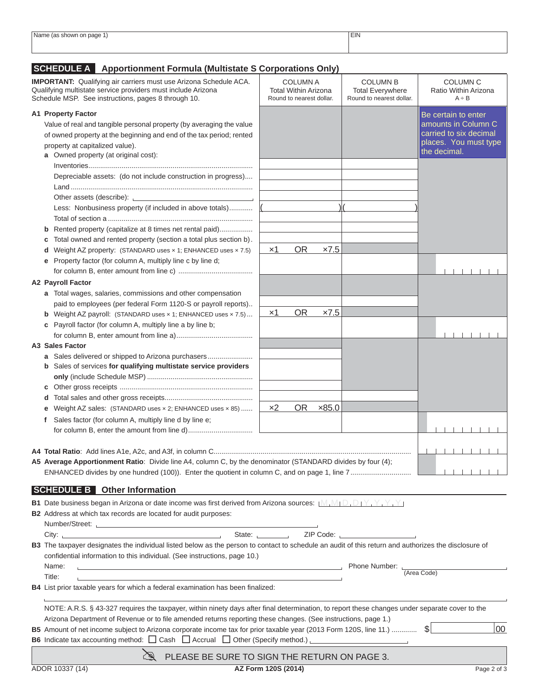| Name<br>page<br>snowr<br>. | <b>EIN</b> |
|----------------------------|------------|
|                            |            |
|                            |            |
|                            |            |
|                            |            |

## **SCHEDULE A Apportionment Formula (Multistate S Corporations Only)**

| <b>IMPORTANT:</b> Qualifying air carriers must use Arizona Schedule ACA.<br>Qualifying multistate service providers must include Arizona<br>Schedule MSP. See instructions, pages 8 through 10. |                                                                                                                                                                                                                                                                 | <b>COLUMN A</b><br><b>Total Within Arizona</b><br>Round to nearest dollar.                                              | <b>COLUMN B</b><br><b>Total Everywhere</b><br>Round to nearest dollar. | <b>COLUMN C</b><br>Ratio Within Arizona<br>$A \div B$ |  |
|-------------------------------------------------------------------------------------------------------------------------------------------------------------------------------------------------|-----------------------------------------------------------------------------------------------------------------------------------------------------------------------------------------------------------------------------------------------------------------|-------------------------------------------------------------------------------------------------------------------------|------------------------------------------------------------------------|-------------------------------------------------------|--|
|                                                                                                                                                                                                 | <b>A1 Property Factor</b>                                                                                                                                                                                                                                       |                                                                                                                         |                                                                        | Be certain to enter                                   |  |
|                                                                                                                                                                                                 | Value of real and tangible personal property (by averaging the value                                                                                                                                                                                            |                                                                                                                         |                                                                        | amounts in Column C                                   |  |
|                                                                                                                                                                                                 | of owned property at the beginning and end of the tax period; rented                                                                                                                                                                                            |                                                                                                                         |                                                                        | carried to six decimal                                |  |
|                                                                                                                                                                                                 | property at capitalized value).                                                                                                                                                                                                                                 |                                                                                                                         |                                                                        | places. You must type                                 |  |
|                                                                                                                                                                                                 | a Owned property (at original cost):                                                                                                                                                                                                                            |                                                                                                                         |                                                                        | the decimal.                                          |  |
|                                                                                                                                                                                                 |                                                                                                                                                                                                                                                                 |                                                                                                                         |                                                                        |                                                       |  |
|                                                                                                                                                                                                 | Depreciable assets: (do not include construction in progress)                                                                                                                                                                                                   |                                                                                                                         |                                                                        |                                                       |  |
|                                                                                                                                                                                                 |                                                                                                                                                                                                                                                                 |                                                                                                                         |                                                                        |                                                       |  |
|                                                                                                                                                                                                 | Other assets (describe): \\omega_{\math}}                                                                                                                                                                                                                       |                                                                                                                         |                                                                        |                                                       |  |
|                                                                                                                                                                                                 | Less: Nonbusiness property (if included in above totals)                                                                                                                                                                                                        |                                                                                                                         |                                                                        |                                                       |  |
|                                                                                                                                                                                                 |                                                                                                                                                                                                                                                                 |                                                                                                                         |                                                                        |                                                       |  |
|                                                                                                                                                                                                 | Rented property (capitalize at 8 times net rental paid)                                                                                                                                                                                                         |                                                                                                                         |                                                                        |                                                       |  |
|                                                                                                                                                                                                 | Total owned and rented property (section a total plus section b).                                                                                                                                                                                               |                                                                                                                         |                                                                        |                                                       |  |
|                                                                                                                                                                                                 | Weight AZ property: (STANDARD uses x 1; ENHANCED uses x 7.5)<br>d                                                                                                                                                                                               | <b>OR</b><br>$\times$ 1<br>x7.5                                                                                         |                                                                        |                                                       |  |
|                                                                                                                                                                                                 | Property factor (for column A, multiply line c by line d;<br>е                                                                                                                                                                                                  |                                                                                                                         |                                                                        |                                                       |  |
|                                                                                                                                                                                                 |                                                                                                                                                                                                                                                                 |                                                                                                                         |                                                                        |                                                       |  |
|                                                                                                                                                                                                 | <b>A2 Payroll Factor</b>                                                                                                                                                                                                                                        |                                                                                                                         |                                                                        |                                                       |  |
|                                                                                                                                                                                                 |                                                                                                                                                                                                                                                                 |                                                                                                                         |                                                                        |                                                       |  |
|                                                                                                                                                                                                 | a Total wages, salaries, commissions and other compensation                                                                                                                                                                                                     |                                                                                                                         |                                                                        |                                                       |  |
|                                                                                                                                                                                                 | paid to employees (per federal Form 1120-S or payroll reports)                                                                                                                                                                                                  | <b>OR</b><br>x7.5<br>$\times$ 1                                                                                         |                                                                        |                                                       |  |
|                                                                                                                                                                                                 | <b>b</b> Weight AZ payroll: (STANDARD uses x 1; ENHANCED uses x 7.5)                                                                                                                                                                                            |                                                                                                                         |                                                                        |                                                       |  |
|                                                                                                                                                                                                 | c Payroll factor (for column A, multiply line a by line b;                                                                                                                                                                                                      |                                                                                                                         |                                                                        |                                                       |  |
|                                                                                                                                                                                                 |                                                                                                                                                                                                                                                                 |                                                                                                                         |                                                                        |                                                       |  |
|                                                                                                                                                                                                 | A3 Sales Factor                                                                                                                                                                                                                                                 |                                                                                                                         |                                                                        |                                                       |  |
|                                                                                                                                                                                                 | a Sales delivered or shipped to Arizona purchasers<br>b Sales of services for qualifying multistate service providers                                                                                                                                           |                                                                                                                         |                                                                        |                                                       |  |
|                                                                                                                                                                                                 |                                                                                                                                                                                                                                                                 |                                                                                                                         |                                                                        |                                                       |  |
|                                                                                                                                                                                                 |                                                                                                                                                                                                                                                                 |                                                                                                                         |                                                                        |                                                       |  |
|                                                                                                                                                                                                 |                                                                                                                                                                                                                                                                 |                                                                                                                         |                                                                        |                                                       |  |
|                                                                                                                                                                                                 |                                                                                                                                                                                                                                                                 | <b>OR</b><br>x85.0                                                                                                      |                                                                        |                                                       |  |
|                                                                                                                                                                                                 | Weight AZ sales: (STANDARD uses x 2; ENHANCED uses x 85)                                                                                                                                                                                                        | x <sub>2</sub>                                                                                                          |                                                                        |                                                       |  |
|                                                                                                                                                                                                 | Sales factor (for column A, multiply line d by line e;<br>f                                                                                                                                                                                                     |                                                                                                                         |                                                                        |                                                       |  |
|                                                                                                                                                                                                 |                                                                                                                                                                                                                                                                 |                                                                                                                         |                                                                        |                                                       |  |
|                                                                                                                                                                                                 |                                                                                                                                                                                                                                                                 |                                                                                                                         |                                                                        |                                                       |  |
|                                                                                                                                                                                                 |                                                                                                                                                                                                                                                                 |                                                                                                                         |                                                                        |                                                       |  |
|                                                                                                                                                                                                 | A5 Average Apportionment Ratio: Divide line A4, column C, by the denominator (STANDARD divides by four (4);                                                                                                                                                     |                                                                                                                         |                                                                        |                                                       |  |
|                                                                                                                                                                                                 |                                                                                                                                                                                                                                                                 |                                                                                                                         |                                                                        | .                                                     |  |
|                                                                                                                                                                                                 | <b>SCHEDULE B</b> Other Information                                                                                                                                                                                                                             |                                                                                                                         |                                                                        |                                                       |  |
|                                                                                                                                                                                                 | <b>B1</b> Date business began in Arizona or date income was first derived from Arizona sources: $[M_1M_1D_2D_1Y_1Y_1Y_2]$                                                                                                                                       |                                                                                                                         |                                                                        |                                                       |  |
|                                                                                                                                                                                                 | <b>B2</b> Address at which tax records are located for audit purposes:                                                                                                                                                                                          |                                                                                                                         |                                                                        |                                                       |  |
|                                                                                                                                                                                                 |                                                                                                                                                                                                                                                                 |                                                                                                                         |                                                                        |                                                       |  |
|                                                                                                                                                                                                 |                                                                                                                                                                                                                                                                 |                                                                                                                         |                                                                        |                                                       |  |
|                                                                                                                                                                                                 |                                                                                                                                                                                                                                                                 | State: <u>Union</u> ZIP Code: University of Alexander Code: University of Alexander Code: University of Alexander Code: |                                                                        |                                                       |  |
| B3 The taxpayer designates the individual listed below as the person to contact to schedule an audit of this return and authorizes the disclosure of                                            |                                                                                                                                                                                                                                                                 |                                                                                                                         |                                                                        |                                                       |  |
|                                                                                                                                                                                                 | confidential information to this individual. (See instructions, page 10.)                                                                                                                                                                                       |                                                                                                                         |                                                                        |                                                       |  |
|                                                                                                                                                                                                 | Name:                                                                                                                                                                                                                                                           |                                                                                                                         |                                                                        | (Area Code)                                           |  |
|                                                                                                                                                                                                 | Title:                                                                                                                                                                                                                                                          |                                                                                                                         |                                                                        |                                                       |  |
| B4 List prior taxable years for which a federal examination has been finalized:                                                                                                                 |                                                                                                                                                                                                                                                                 |                                                                                                                         |                                                                        |                                                       |  |
|                                                                                                                                                                                                 | NOTE: A.R.S. § 43-327 requires the taxpayer, within ninety days after final determination, to report these changes under separate cover to the<br>Arizona Department of Revenue or to file amended returns reporting these changes. (See instructions, page 1.) |                                                                                                                         |                                                                        |                                                       |  |
|                                                                                                                                                                                                 |                                                                                                                                                                                                                                                                 |                                                                                                                         |                                                                        |                                                       |  |
|                                                                                                                                                                                                 | 00<br>B5 Amount of net income subject to Arizona corporate income tax for prior taxable year (2013 Form 120S, line 11.)  \$                                                                                                                                     |                                                                                                                         |                                                                        |                                                       |  |
|                                                                                                                                                                                                 | B6 Indicate tax accounting method: $\Box$ Cash $\Box$ Accrual $\Box$ Other (Specify method.) $\Box$                                                                                                                                                             |                                                                                                                         |                                                                        |                                                       |  |
|                                                                                                                                                                                                 |                                                                                                                                                                                                                                                                 |                                                                                                                         |                                                                        |                                                       |  |
|                                                                                                                                                                                                 | PLEASE BE SURE TO SIGN THE RETURN ON PAGE 3.                                                                                                                                                                                                                    |                                                                                                                         |                                                                        |                                                       |  |
|                                                                                                                                                                                                 | ADOR 10337 (14)                                                                                                                                                                                                                                                 | AZ Form 120S (2014)                                                                                                     |                                                                        | Page 2 of 3                                           |  |